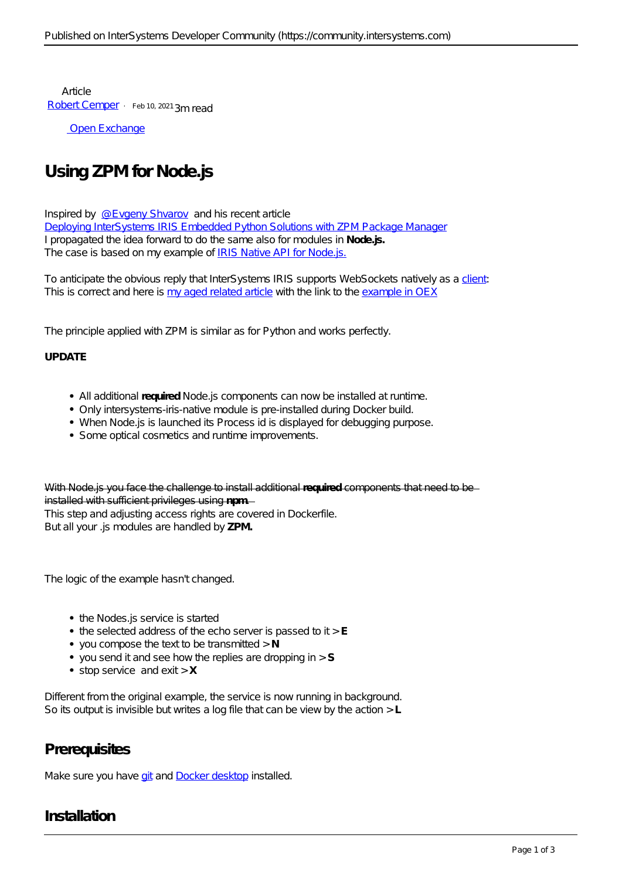Article [Robert Cemper](https://community.intersystems.com/user/robert-cemper-0) · Feb 10, 2021 3m read

[Open Exchange](https://openexchange.intersystems.com/package/Using-ZPM-for-Node-js)

# **Using ZPM for Node.js**

Inspired by [@Evgeny Shvarov](https://community.intersystems.com/user/evgeny-shvarov) and his recent article [Deploying InterSystems IRIS Embedded Python Solutions with ZPM Package Manager](https://community.intersystems.com/post/deploying-intersystems-iris-embedded-python-solutions-zpm-package-manager) I propagated the idea forward to do the same also for modules in **Node.js.** The case is based on my example of [IRIS Native API for Node.js.](https://community.intersystems.com/post/websocket-client-js-iris-native-api-docker-micro-server)

To anticipate the obvious reply that InterSystems IRIS supports WebSockets natively as a [client](https://docs.intersystems.com/irislatest/csp/documatic/%25CSP.Documatic.cls?&LIBRARY=%25SYS&PRIVATE=1&SYSTEM=0&CLASSNAME=%25Net.WebSocket.Client): This is correct and here is [my aged related article](https://community.intersystems.com/post/websocket-client-iris-internal) with the link to the [example in OEX](https://openexchange.intersystems.com/package/IRIS-internal-WebSocket-Client)

The principle applied with ZPM is similar as for Python and works perfectly.

#### **UPDATE**

- All additional **required** Node.js components can now be installed at runtime.
- Only *intersystems-iris-native* module is pre-installed during Docker build.
- When Node.js is launched its Process id is displayed for debugging purpose.
- Some optical cosmetics and runtime improvements.

With Node is you face the challenge to install additional **required** comp installed with sufficient privileges using **npm**.

This step and adjusting access rights are covered in Dockerfile. But all your .js modules are handled by **ZPM.**

The logic of the example hasn't changed.

- the Nodes.js service is started
- the selected address of the echo server is passed to it > **E**
- you compose the text to be transmitted > **N**
- you send it and see how the replies are dropping in > **S**
- stop service and exit > **X**

Different from the original example, the service is now running in background. So its output is invisible but writes a log file that can be view by the action > **L**

## **Prerequisites**

Make sure you have [git](https://git-scm.com/book/en/v2/Getting-Started-Installing-Git) and [Docker desktop](https://www.docker.com/products/docker-desktop) installed.

## **Installation**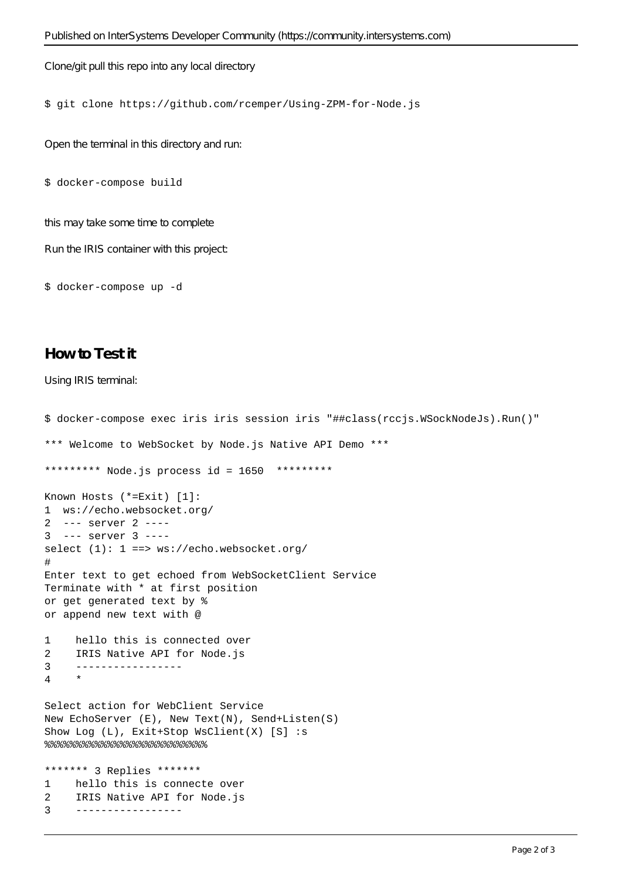Clone/git pull this repo into any local directory

#### \$ git clone https://github.com/rcemper/Using-ZPM-for-Node.js

Open the terminal in this directory and run:

```
$ docker-compose build
```
this may take some time to complete

Run the IRIS container with this project:

\$ docker-compose up -d

## **How to Test it**

Using IRIS terminal:

```
$ docker-compose exec iris iris session iris "##class(rccjs.WSockNodeJs).Run()"
*** Welcome to WebSocket by Node.js Native API Demo *** 
********* Node.js process id = 1650 *********
Known Hosts (*=Exit) [1]:
1 ws://echo.websocket.org/
2 --- server 2 ----
3 --- server 3 ----
select (1): 1 ==> ws://echo.websocket.org/
#
Enter text to get echoed from WebSocketClient Service
Terminate with * at first position
or get generated text by %
or append new text with @
1 hello this is connected over
2 IRIS Native API for Node.js
3 -----------------
4 *
Select action for WebClient Service
New EchoServer (E), New Text(N), Send+Listen(S)
Show Log (L), Exit+Stop WsClient(X) [S] :s
%%%%%%%%%%%%%%%%%%%%%%%%%%
******* 3 Replies *******
1 hello this is connecte over 
2 IRIS Native API for Node.js
```
3 -----------------